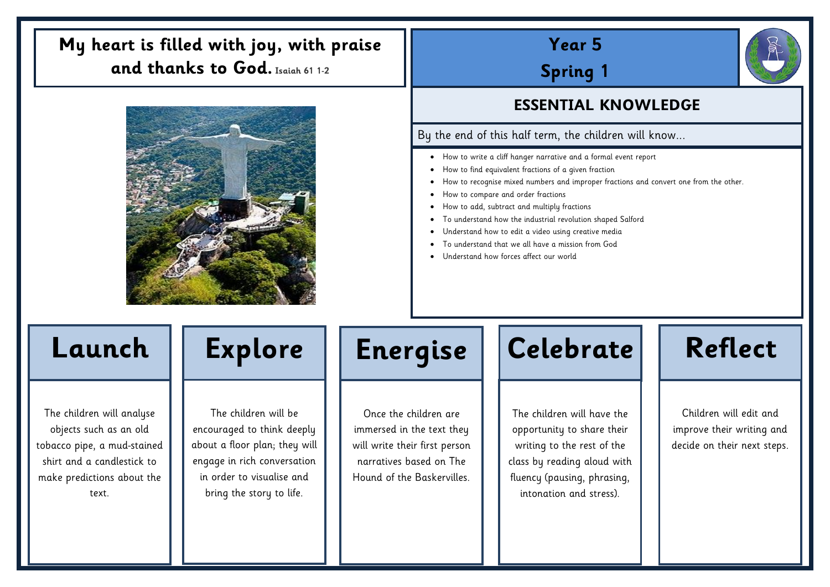# **Year 5**

**Spring 1**

- How to write a cliff hanger narrative and a formal event report
- How to find equivalent fractions of a given fraction
- How to recognise mixed numbers and improper fractions and convert one from the other.
- How to compare and order fractions
- How to add, subtract and multiply fractions
- To understand how the industrial revolution shaped Salford
- Understand how to edit a video using creative media
- To understand that we all have a mission from God
- Understand how forces affect our world

### **ESSENTIAL KNOWLEDGE**

### By the end of this half term, the children will know...

The children will analyse objects such as an old tobacco pipe, a mud-stained shirt and a candlestick to make predictions about the text.

The children will be encouraged to think deeply about a floor plan; they will engage in rich conversation in order to visualise and bring the story to life.

Once the children are immersed in the text they will write their first person narratives based on The Hound of the Baskervilles.



The children will have the opportunity to share their writing to the rest of the class by reading aloud with fluency (pausing, phrasing, intonation and stress).



## **My heart is filled with joy, with praise and thanks to God. Isaiah 61 1-2**